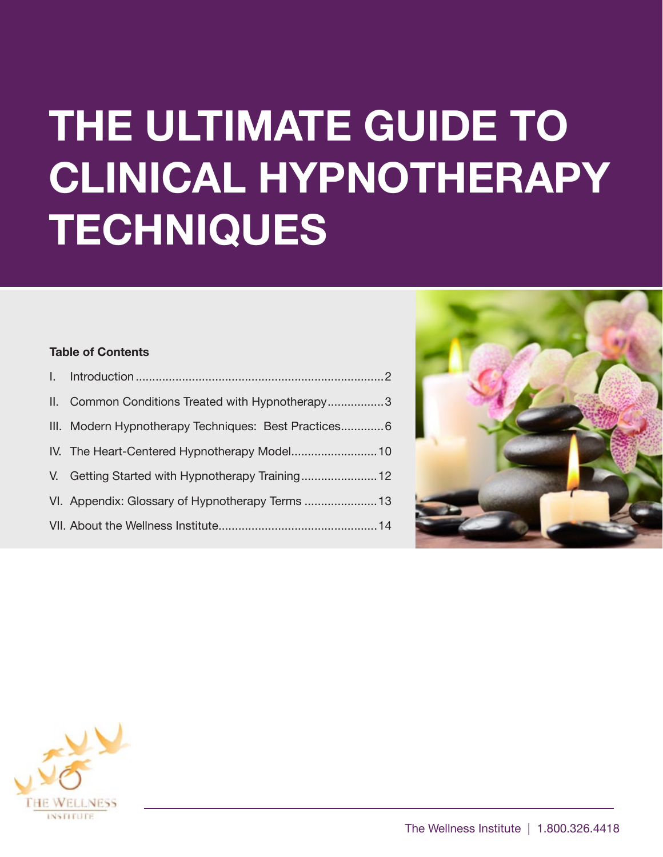# **THE ULTIMATE GUIDE TO CLINICAL HYPNOTHERAPY TECHNIQUES**

### **Table of Contents**

| II. Common Conditions Treated with Hypnotherapy3     |
|------------------------------------------------------|
| III. Modern Hypnotherapy Techniques: Best Practices6 |
|                                                      |
| V. Getting Started with Hypnotherapy Training 12     |
|                                                      |
|                                                      |
|                                                      |



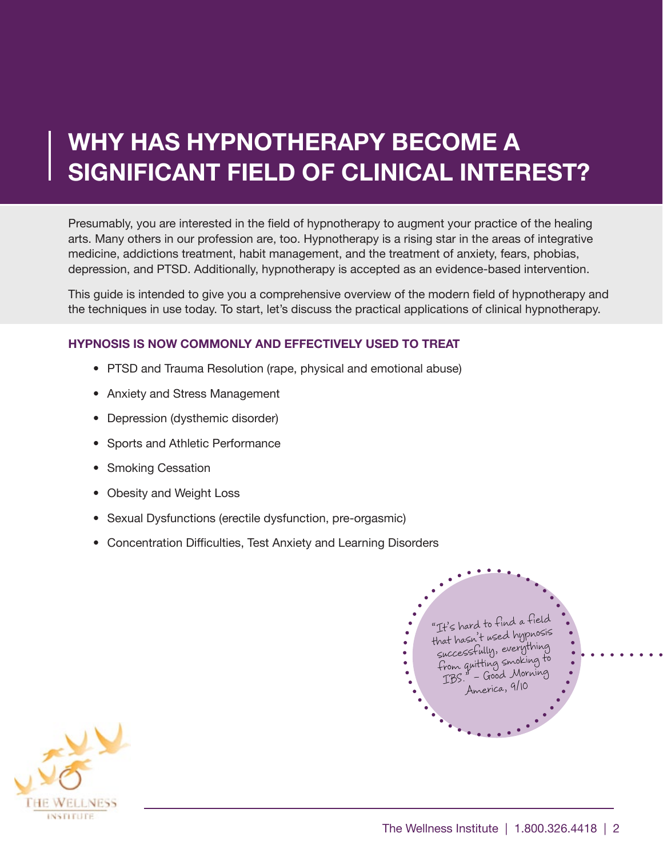# <span id="page-1-0"></span>**WHY HAS HYPNOTHERAPY BECOME A SIGNIFICANT FIELD OF CLINICAL INTEREST?**

Presumably, you are interested in the field of hypnotherapy to augment your practice of the healing arts. Many others in our profession are, too. Hypnotherapy is a rising star in the areas of integrative medicine, addictions treatment, habit management, and the treatment of anxiety, fears, phobias, depression, and PTSD. Additionally, hypnotherapy is accepted as an evidence-based intervention.

This guide is intended to give you a comprehensive overview of the modern field of hypnotherapy and the techniques in use today. To start, let's discuss the practical applications of clinical hypnotherapy.

### **HYPNOSIS IS NOW COMMONLY AND EFFECTIVELY USED TO TREAT**

- PTSD and Trauma Resolution (rape, physical and emotional abuse)
- Anxiety and Stress Management
- Depression (dysthemic disorder)
- Sports and Athletic Performance
- Smoking Cessation
- Obesity and Weight Loss
- Sexual Dysfunctions (erectile dysfunction, pre-orgasmic)
- Concentration Difficulties, Test Anxiety and Learning Disorders



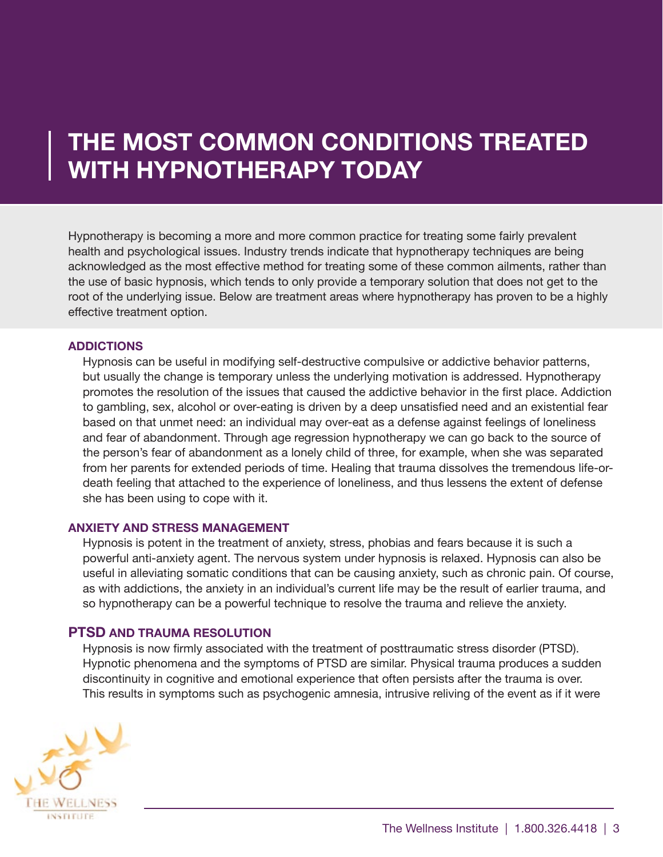### <span id="page-2-0"></span>**THE MOST COMMON CONDITIONS TREATED WITH HYPNOTHERAPY TODAY**

Hypnotherapy is becoming a more and more common practice for treating some fairly prevalent health and psychological issues. Industry trends indicate that hypnotherapy techniques are being acknowledged as the most effective method for treating some of these common ailments, rather than the use of basic hypnosis, which tends to only provide a temporary solution that does not get to the root of the underlying issue. Below are treatment areas where hypnotherapy has proven to be a highly effective treatment option.

### **ADDICTIONS**

Hypnosis can be useful in modifying self-destructive compulsive or addictive behavior patterns, but usually the change is temporary unless the underlying motivation is addressed. Hypnotherapy promotes the resolution of the issues that caused the addictive behavior in the first place. Addiction to gambling, sex, alcohol or over-eating is driven by a deep unsatisfied need and an existential fear based on that unmet need: an individual may over-eat as a defense against feelings of loneliness and fear of abandonment. Through age regression hypnotherapy we can go back to the source of the person's fear of abandonment as a lonely child of three, for example, when she was separated from her parents for extended periods of time. Healing that trauma dissolves the tremendous life-ordeath feeling that attached to the experience of loneliness, and thus lessens the extent of defense she has been using to cope with it.

### **ANXIETY AND STRESS MANAGEMENT**

Hypnosis is potent in the treatment of anxiety, stress, phobias and fears because it is such a powerful anti-anxiety agent. The nervous system under hypnosis is relaxed. Hypnosis can also be useful in alleviating somatic conditions that can be causing anxiety, such as chronic pain. Of course, as with addictions, the anxiety in an individual's current life may be the result of earlier trauma, and so hypnotherapy can be a powerful technique to resolve the trauma and relieve the anxiety.

### **PTSD AND TRAUMA RESOLUTION**

Hypnosis is now firmly associated with the treatment of posttraumatic stress disorder (PTSD). Hypnotic phenomena and the symptoms of PTSD are similar. Physical trauma produces a sudden discontinuity in cognitive and emotional experience that often persists after the trauma is over. This results in symptoms such as psychogenic amnesia, intrusive reliving of the event as if it were

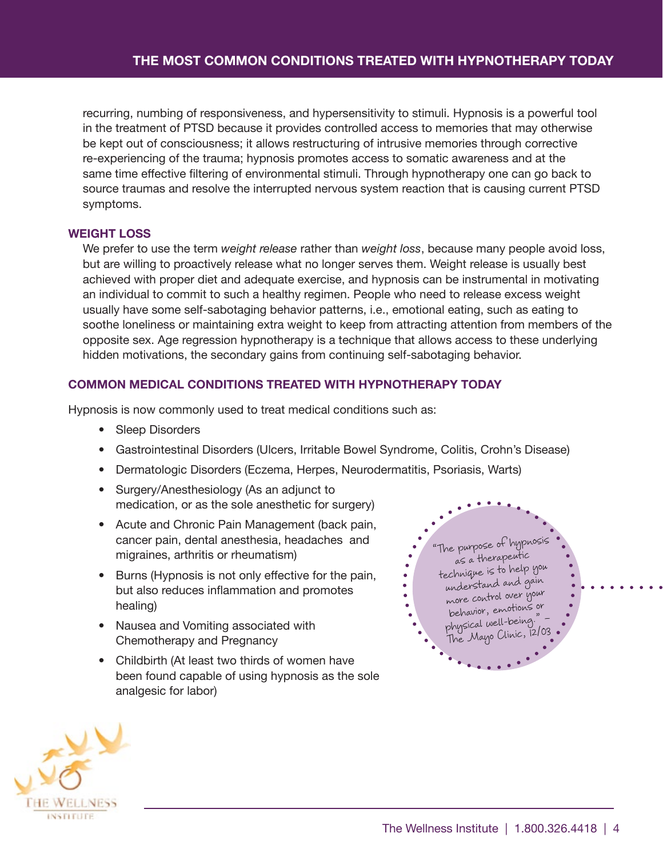recurring, numbing of responsiveness, and hypersensitivity to stimuli. Hypnosis is a powerful tool in the treatment of PTSD because it provides controlled access to memories that may otherwise be kept out of consciousness; it allows restructuring of intrusive memories through corrective re-experiencing of the trauma; hypnosis promotes access to somatic awareness and at the same time effective filtering of environmental stimuli. Through hypnotherapy one can go back to source traumas and resolve the interrupted nervous system reaction that is causing current PTSD symptoms.

### **WEIGHT LOSS**

We prefer to use the term *weight release* rather than *weight loss*, because many people avoid loss, but are willing to proactively release what no longer serves them. Weight release is usually best achieved with proper diet and adequate exercise, and hypnosis can be instrumental in motivating an individual to commit to such a healthy regimen. People who need to release excess weight usually have some self-sabotaging behavior patterns, i.e., emotional eating, such as eating to soothe loneliness or maintaining extra weight to keep from attracting attention from members of the opposite sex. Age regression hypnotherapy is a technique that allows access to these underlying hidden motivations, the secondary gains from continuing self-sabotaging behavior.

### **COMMON MEDICAL CONDITIONS TREATED WITH HYPNOTHERAPY TODAY**

Hypnosis is now commonly used to treat medical conditions such as:

- Sleep Disorders
- Gastrointestinal Disorders (Ulcers, Irritable Bowel Syndrome, Colitis, Crohn's Disease)
- Dermatologic Disorders (Eczema, Herpes, Neurodermatitis, Psoriasis, Warts)
- Surgery/Anesthesiology (As an adjunct to medication, or as the sole anesthetic for surgery)
- Acute and Chronic Pain Management (back pain, cancer pain, dental anesthesia, headaches and migraines, arthritis or rheumatism)
- Burns (Hypnosis is not only effective for the pain, but also reduces inflammation and promotes healing)
- Nausea and Vomiting associated with Chemotherapy and Pregnancy
- Childbirth (At least two thirds of women have been found capable of using hypnosis as the sole analgesic for labor)



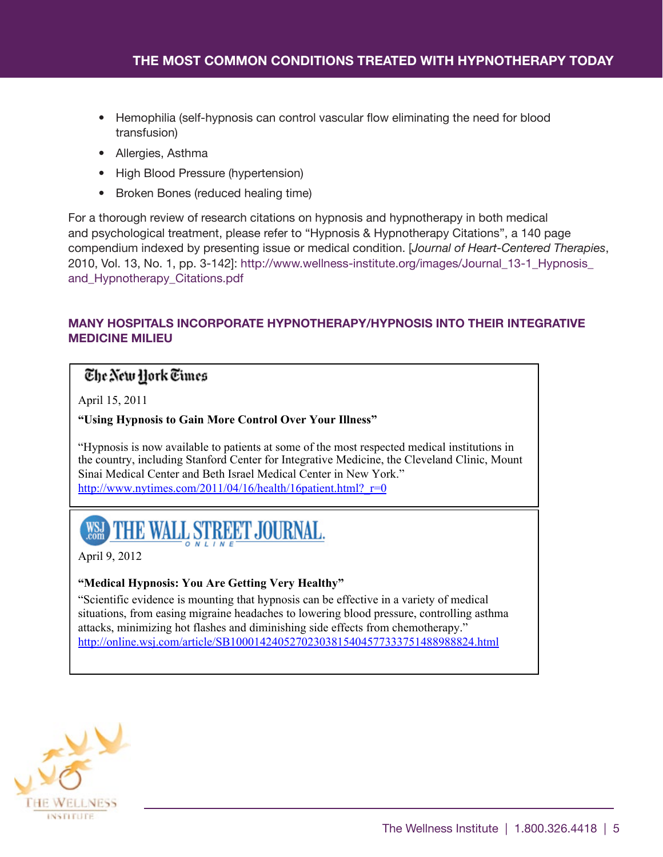- Hemophilia (self-hypnosis can control vascular flow eliminating the need for blood transfusion)
- Allergies, Asthma
- High Blood Pressure (hypertension)
- Broken Bones (reduced healing time)

For a thorough review of research citations on hypnosis and hypnotherapy in both medical and psychological treatment, please refer to "Hypnosis & Hypnotherapy Citations", a 140 page compendium indexed by presenting issue or medical condition. [*Journal of Heart-Centered Therapies*, 2010, Vol. 13, No. 1, pp. 3-142]: [http://www.wellness-institute.org/images/Journal\\_13-1\\_Hypnosis\\_](http://www.wellness-institute.org/images/Journal_13-1_Hypnosis_and_Hypnotherapy_Citations.pdf) [and\\_Hypnotherapy\\_Citations.pdf](http://www.wellness-institute.org/images/Journal_13-1_Hypnosis_and_Hypnotherapy_Citations.pdf)

### **MANY HOSPITALS INCORPORATE HYPNOTHERAPY/HYPNOSIS INTO THEIR INTEGRATIVE MEDICINE MILIEU**

### The New Hork Times

April 15, 2011

### **"Using Hypnosis to Gain More Control Over Your Illness"**

"Hypnosis is now available to patients at some of the most respected medical institutions in the country, including Stanford Center for Integrative Medicine, the Cleveland Clinic, Mount Sinai Medical Center and Beth Israel Medical Center in New York." http://www.nytimes.com/2011/04/16/health/16patient.html? $r=0$ 

# WSH THE WALL STREET JOURNAL.

April 9, 2012

### **"Medical Hypnosis: You Are Getting Very Healthy"**

"Scientific evidence is mounting that hypnosis can be effective in a variety of medical situations, from easing migraine headaches to lowering blood pressure, controlling asthma attacks, minimizing hot flashes and diminishing side effects from chemotherapy." http://online.wsj.com/article/SB10001424052702303815404577333751488988824.html

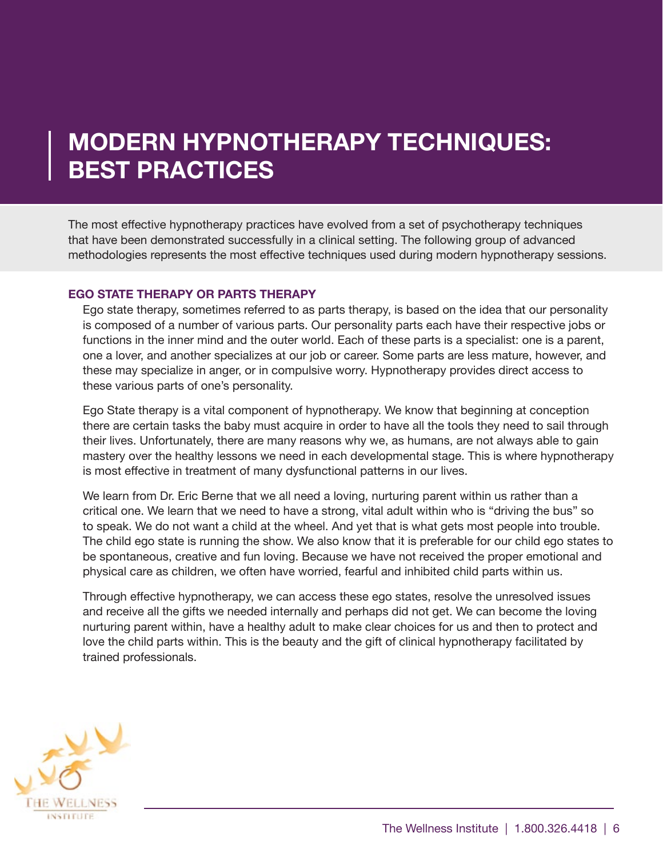## <span id="page-5-0"></span>**MODERN HYPNOTHERAPY TECHNIQUES: BEST PRACTICES**

The most effective hypnotherapy practices have evolved from a set of psychotherapy techniques that have been demonstrated successfully in a clinical setting. The following group of advanced methodologies represents the most effective techniques used during modern hypnotherapy sessions.

### **EGO STATE THERAPY OR PARTS THERAPY**

Ego state therapy, sometimes referred to as parts therapy, is based on the idea that our personality is composed of a number of various parts. Our personality parts each have their respective jobs or functions in the inner mind and the outer world. Each of these parts is a specialist: one is a parent, one a lover, and another specializes at our job or career. Some parts are less mature, however, and these may specialize in anger, or in compulsive worry. Hypnotherapy provides direct access to these various parts of one's personality.

Ego State therapy is a vital component of hypnotherapy. We know that beginning at conception there are certain tasks the baby must acquire in order to have all the tools they need to sail through their lives. Unfortunately, there are many reasons why we, as humans, are not always able to gain mastery over the healthy lessons we need in each developmental stage. This is where hypnotherapy is most effective in treatment of many dysfunctional patterns in our lives.

We learn from Dr. Eric Berne that we all need a loving, nurturing parent within us rather than a critical one. We learn that we need to have a strong, vital adult within who is "driving the bus" so to speak. We do not want a child at the wheel. And yet that is what gets most people into trouble. The child ego state is running the show. We also know that it is preferable for our child ego states to be spontaneous, creative and fun loving. Because we have not received the proper emotional and physical care as children, we often have worried, fearful and inhibited child parts within us.

Through effective hypnotherapy, we can access these ego states, resolve the unresolved issues and receive all the gifts we needed internally and perhaps did not get. We can become the loving nurturing parent within, have a healthy adult to make clear choices for us and then to protect and love the child parts within. This is the beauty and the gift of clinical hypnotherapy facilitated by trained professionals.

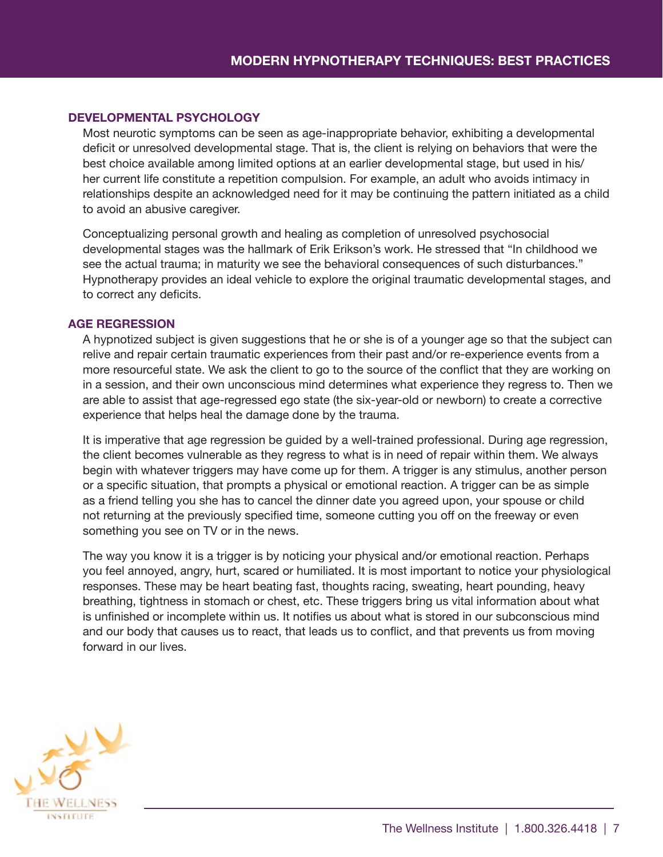### **DEVELOPMENTAL PSYCHOLOGY**

Most neurotic symptoms can be seen as age-inappropriate behavior, exhibiting a developmental deficit or unresolved developmental stage. That is, the client is relying on behaviors that were the best choice available among limited options at an earlier developmental stage, but used in his/ her current life constitute a repetition compulsion. For example, an adult who avoids intimacy in relationships despite an acknowledged need for it may be continuing the pattern initiated as a child to avoid an abusive caregiver.

Conceptualizing personal growth and healing as completion of unresolved psychosocial developmental stages was the hallmark of Erik Erikson's work. He stressed that "In childhood we see the actual trauma; in maturity we see the behavioral consequences of such disturbances." Hypnotherapy provides an ideal vehicle to explore the original traumatic developmental stages, and to correct any deficits.

### **AGE REGRESSION**

A hypnotized subject is given suggestions that he or she is of a younger age so that the subject can relive and repair certain traumatic experiences from their past and/or re-experience events from a more resourceful state. We ask the client to go to the source of the conflict that they are working on in a session, and their own unconscious mind determines what experience they regress to. Then we are able to assist that age-regressed ego state (the six-year-old or newborn) to create a corrective experience that helps heal the damage done by the trauma.

It is imperative that age regression be guided by a well-trained professional. During age regression, the client becomes vulnerable as they regress to what is in need of repair within them. We always begin with whatever triggers may have come up for them. A trigger is any stimulus, another person or a specific situation, that prompts a physical or emotional reaction. A trigger can be as simple as a friend telling you she has to cancel the dinner date you agreed upon, your spouse or child not returning at the previously specified time, someone cutting you off on the freeway or even something you see on TV or in the news.

The way you know it is a trigger is by noticing your physical and/or emotional reaction. Perhaps you feel annoyed, angry, hurt, scared or humiliated. It is most important to notice your physiological responses. These may be heart beating fast, thoughts racing, sweating, heart pounding, heavy breathing, tightness in stomach or chest, etc. These triggers bring us vital information about what is unfinished or incomplete within us. It notifies us about what is stored in our subconscious mind and our body that causes us to react, that leads us to conflict, and that prevents us from moving forward in our lives.

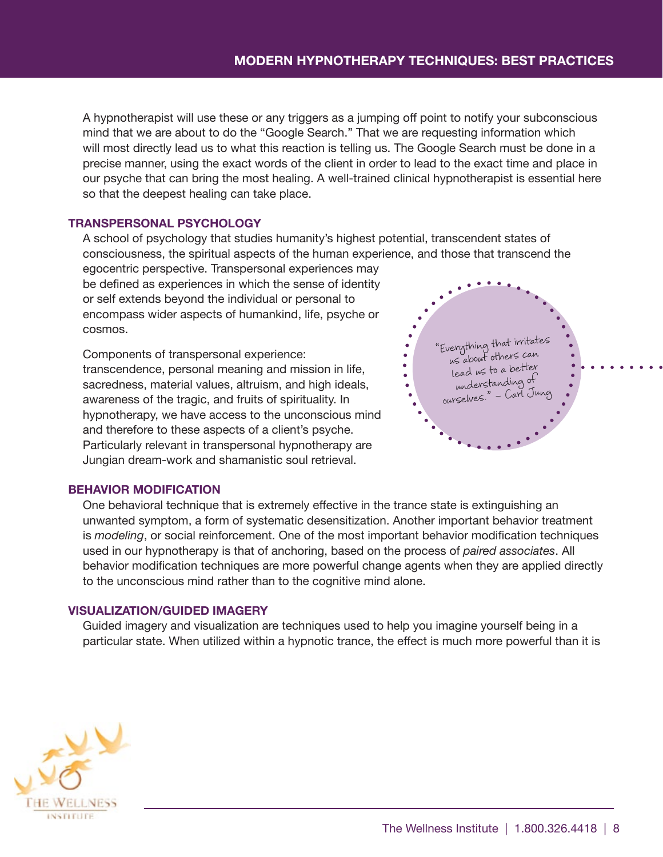A hypnotherapist will use these or any triggers as a jumping off point to notify your subconscious mind that we are about to do the "Google Search." That we are requesting information which will most directly lead us to what this reaction is telling us. The Google Search must be done in a precise manner, using the exact words of the client in order to lead to the exact time and place in our psyche that can bring the most healing. A well-trained clinical hypnotherapist is essential here so that the deepest healing can take place.

### **TRANSPERSONAL PSYCHOLOGY**

A school of psychology that studies humanity's highest potential, transcendent states of consciousness, the spiritual aspects of the human experience, and those that transcend the

egocentric perspective. Transpersonal experiences may be defined as experiences in which the sense of identity or self extends beyond the individual or personal to encompass wider aspects of humankind, life, psyche or cosmos.

Components of transpersonal experience: transcendence, personal meaning and mission in life, sacredness, material values, altruism, and high ideals, awareness of the tragic, and fruits of spirituality. In hypnotherapy, we have access to the unconscious mind and therefore to these aspects of a client's psyche. Particularly relevant in transpersonal hypnotherapy are Jungian dream-work and shamanistic soul retrieval.



### **BEHAVIOR MODIFICATION**

One behavioral technique that is extremely effective in the trance state is extinguishing an unwanted symptom, a form of systematic desensitization. Another important behavior treatment is *modeling*, or social reinforcement. One of the most important behavior modification techniques used in our hypnotherapy is that of anchoring, based on the process of *paired associates*. All behavior modification techniques are more powerful change agents when they are applied directly to the unconscious mind rather than to the cognitive mind alone.

### **VISUALIZATION/GUIDED IMAGERY**

Guided imagery and visualization are techniques used to help you imagine yourself being in a particular state. When utilized within a hypnotic trance, the effect is much more powerful than it is

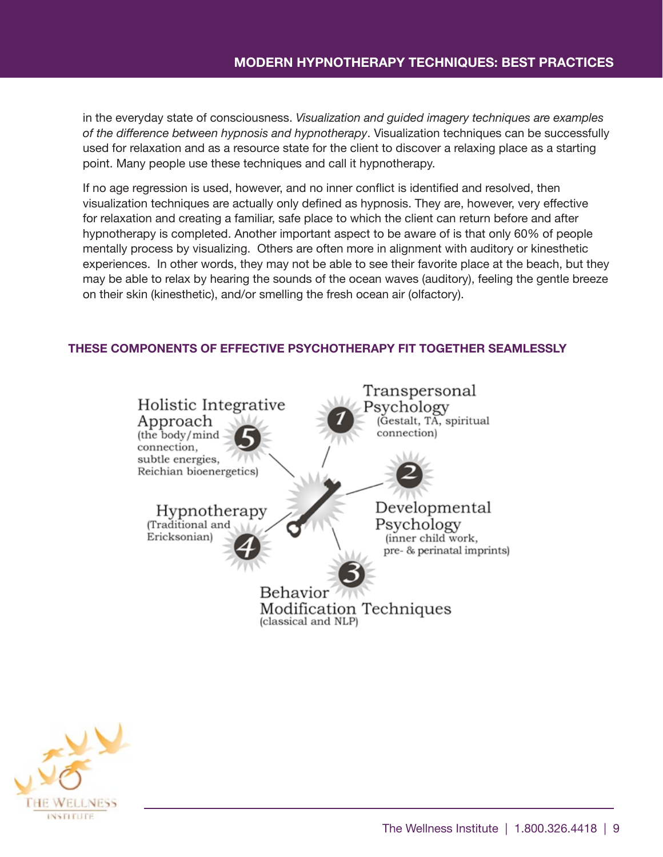in the everyday state of consciousness. *Visualization and guided imagery techniques are examples of the difference between hypnosis and hypnotherapy*. Visualization techniques can be successfully used for relaxation and as a resource state for the client to discover a relaxing place as a starting point. Many people use these techniques and call it hypnotherapy.

If no age regression is used, however, and no inner conflict is identified and resolved, then visualization techniques are actually only defined as hypnosis. They are, however, very effective for relaxation and creating a familiar, safe place to which the client can return before and after hypnotherapy is completed. Another important aspect to be aware of is that only 60% of people mentally process by visualizing. Others are often more in alignment with auditory or kinesthetic experiences. In other words, they may not be able to see their favorite place at the beach, but they may be able to relax by hearing the sounds of the ocean waves (auditory), feeling the gentle breeze on their skin (kinesthetic), and/or smelling the fresh ocean air (olfactory).

### **THESE COMPONENTS OF EFFECTIVE PSYCHOTHERAPY FIT TOGETHER SEAMLESSLY**



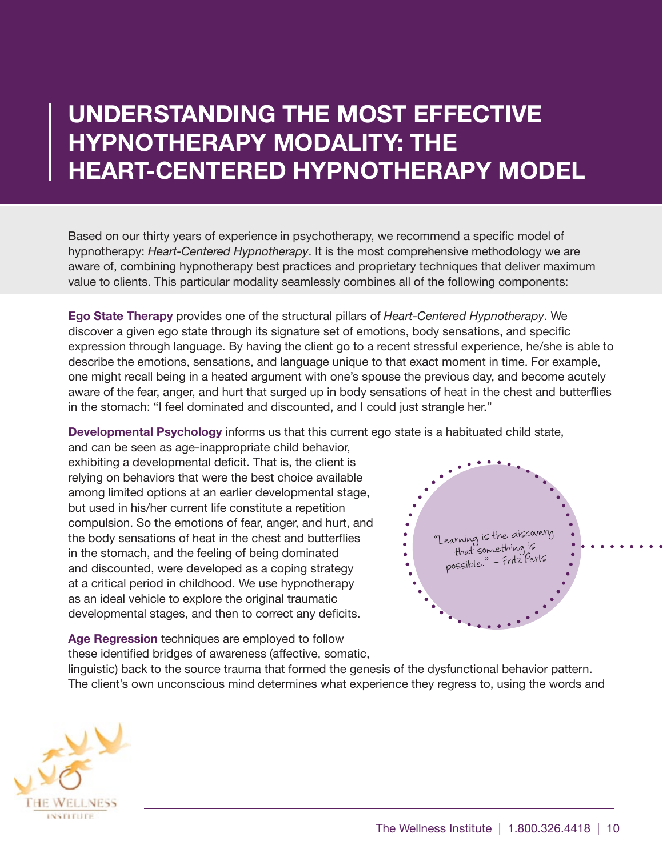### <span id="page-9-0"></span>**UNDERSTANDING THE MOST EFFECTIVE HYPNOTHERAPY MODALITY: THE HEART-CENTERED HYPNOTHERAPY MODEL**

Based on our thirty years of experience in psychotherapy, we recommend a specific model of hypnotherapy: *Heart-Centered Hypnotherapy*. It is the most comprehensive methodology we are aware of, combining hypnotherapy best practices and proprietary techniques that deliver maximum value to clients. This particular modality seamlessly combines all of the following components:

**Ego State Therapy** provides one of the structural pillars of *Heart-Centered Hypnotherapy*. We discover a given ego state through its signature set of emotions, body sensations, and specific expression through language. By having the client go to a recent stressful experience, he/she is able to describe the emotions, sensations, and language unique to that exact moment in time. For example, one might recall being in a heated argument with one's spouse the previous day, and become acutely aware of the fear, anger, and hurt that surged up in body sensations of heat in the chest and butterflies in the stomach: "I feel dominated and discounted, and I could just strangle her."

**Developmental Psychology** informs us that this current ego state is a habituated child state,

and can be seen as age-inappropriate child behavior, exhibiting a developmental deficit. That is, the client is relying on behaviors that were the best choice available among limited options at an earlier developmental stage, but used in his/her current life constitute a repetition compulsion. So the emotions of fear, anger, and hurt, and the body sensations of heat in the chest and butterflies in the stomach, and the feeling of being dominated and discounted, were developed as a coping strategy at a critical period in childhood. We use hypnotherapy as an ideal vehicle to explore the original traumatic developmental stages, and then to correct any deficits.

**Age Regression** techniques are employed to follow these identified bridges of awareness (affective, somatic,



linguistic) back to the source trauma that formed the genesis of the dysfunctional behavior pattern. The client's own unconscious mind determines what experience they regress to, using the words and

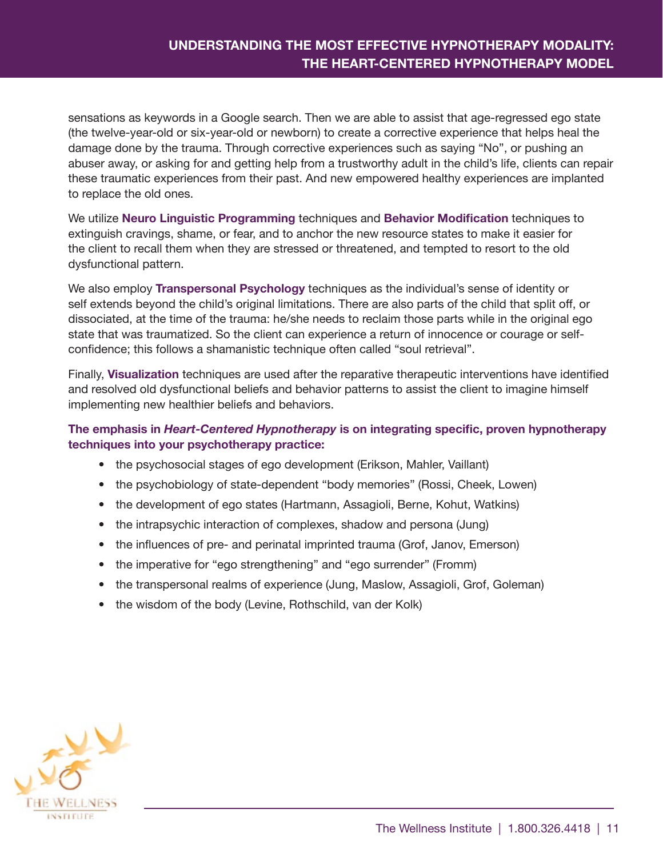### **UNDERSTANDING THE MOST EFFECTIVE HYPNOTHERAPY MODALITY: THE HEART-CENTERED HYPNOTHERAPY MODEL**

sensations as keywords in a Google search. Then we are able to assist that age-regressed ego state (the twelve-year-old or six-year-old or newborn) to create a corrective experience that helps heal the damage done by the trauma. Through corrective experiences such as saying "No", or pushing an abuser away, or asking for and getting help from a trustworthy adult in the child's life, clients can repair these traumatic experiences from their past. And new empowered healthy experiences are implanted to replace the old ones.

We utilize **Neuro Linguistic Programming** techniques and **Behavior Modification** techniques to extinguish cravings, shame, or fear, and to anchor the new resource states to make it easier for the client to recall them when they are stressed or threatened, and tempted to resort to the old dysfunctional pattern.

We also employ **Transpersonal Psychology** techniques as the individual's sense of identity or self extends beyond the child's original limitations. There are also parts of the child that split off, or dissociated, at the time of the trauma: he/she needs to reclaim those parts while in the original ego state that was traumatized. So the client can experience a return of innocence or courage or selfconfidence; this follows a shamanistic technique often called "soul retrieval".

Finally, **Visualization** techniques are used after the reparative therapeutic interventions have identified and resolved old dysfunctional beliefs and behavior patterns to assist the client to imagine himself implementing new healthier beliefs and behaviors.

**The emphasis in** *Heart-Centered Hypnotherapy* **is on integrating specific, proven hypnotherapy techniques into your psychotherapy practice:**

- the psychosocial stages of ego development (Erikson, Mahler, Vaillant)
- the psychobiology of state-dependent "body memories" (Rossi, Cheek, Lowen)
- the development of ego states (Hartmann, Assagioli, Berne, Kohut, Watkins)
- the intrapsychic interaction of complexes, shadow and persona (Jung)
- the influences of pre- and perinatal imprinted trauma (Grof, Janov, Emerson)
- the imperative for "ego strengthening" and "ego surrender" (Fromm)
- the transpersonal realms of experience (Jung, Maslow, Assagioli, Grof, Goleman)
- the wisdom of the body (Levine, Rothschild, van der Kolk)

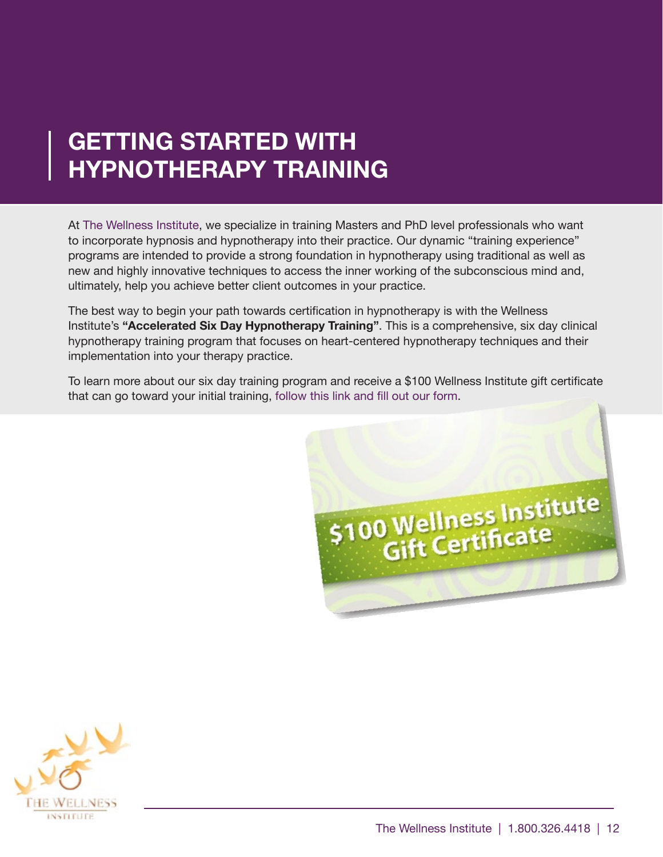### <span id="page-11-0"></span>**GETTING STARTED WITH HYPNOTHERAPY TRAINING**

At [The Wellness Institute](http://www.wellness-institute.org/home.html), we specialize in training Masters and PhD level professionals who want to incorporate hypnosis and hypnotherapy into their practice. Our dynamic "training experience" programs are intended to provide a strong foundation in hypnotherapy using traditional as well as new and highly innovative techniques to access the inner working of the subconscious mind and, ultimately, help you achieve better client outcomes in your practice.

The best way to begin your path towards certification in hypnotherapy is with the Wellness Institute's **"Accelerated Six Day Hypnotherapy Training"**. This is a comprehensive, six day clinical hypnotherapy training program that focuses on heart-centered hypnotherapy techniques and their implementation into your therapy practice.

To learn more about our six day training pr[ogram and receive a \\$100 Wellness Institute gift certificate](http://www.wellness-institute.org/certificationtraining/sixdaytraining.html)  that can go toward your initial training, [follow this link and fill out our form](http://www.wellness-institute.org/certificationtraining/sixdaytraining.html).



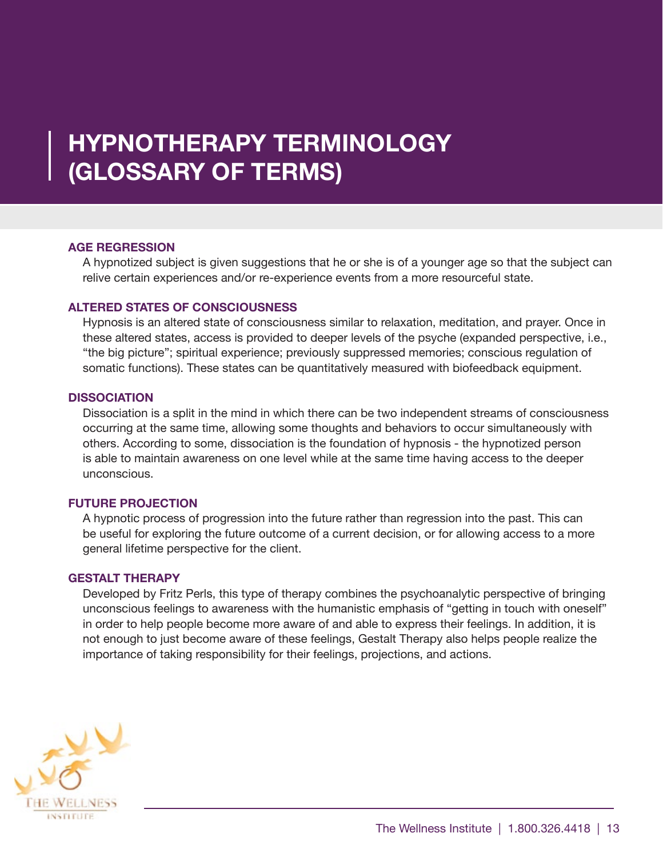### <span id="page-12-0"></span>**HYPNOTHERAPY TERMINOLOGY (GLOSSARY OF TERMS)**

### **AGE REGRESSION**

A hypnotized subject is given suggestions that he or she is of a younger age so that the subject can relive certain experiences and/or re-experience events from a more resourceful state.

### **ALTERED STATES OF CONSCIOUSNESS**

Hypnosis is an altered state of consciousness similar to relaxation, meditation, and prayer. Once in these altered states, access is provided to deeper levels of the psyche (expanded perspective, i.e., "the big picture"; spiritual experience; previously suppressed memories; conscious regulation of somatic functions). These states can be quantitatively measured with biofeedback equipment.

### **DISSOCIATION**

Dissociation is a split in the mind in which there can be two independent streams of consciousness occurring at the same time, allowing some thoughts and behaviors to occur simultaneously with others. According to some, dissociation is the foundation of hypnosis - the hypnotized person is able to maintain awareness on one level while at the same time having access to the deeper unconscious.

### **FUTURE PROJECTION**

A hypnotic process of progression into the future rather than regression into the past. This can be useful for exploring the future outcome of a current decision, or for allowing access to a more general lifetime perspective for the client.

### **GESTALT THERAPY**

Developed by Fritz Perls, this type of therapy combines the psychoanalytic perspective of bringing unconscious feelings to awareness with the humanistic emphasis of "getting in touch with oneself" in order to help people become more aware of and able to express their feelings. In addition, it is not enough to just become aware of these feelings, Gestalt Therapy also helps people realize the importance of taking responsibility for their feelings, projections, and actions.

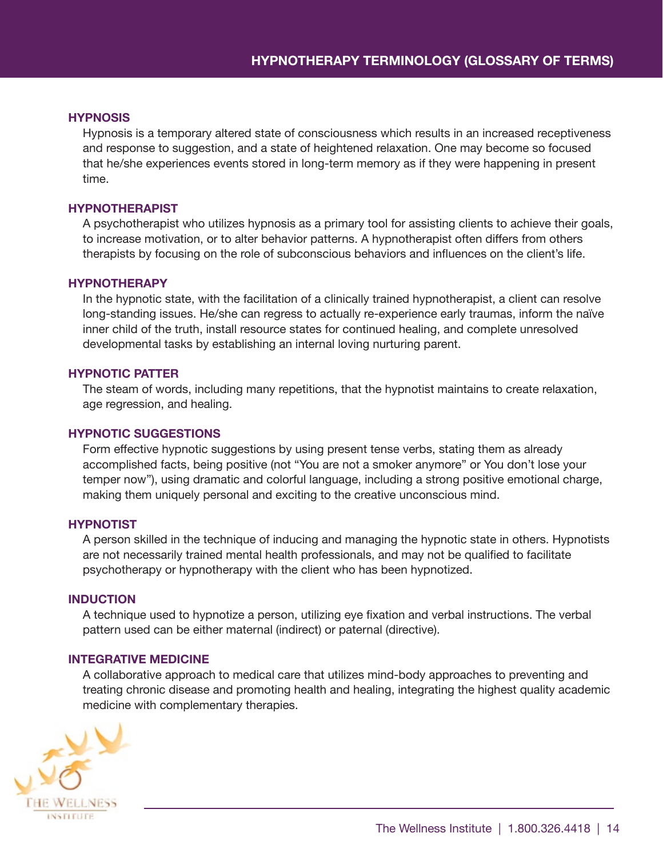#### **HYPNOSIS**

Hypnosis is a temporary altered state of consciousness which results in an increased receptiveness and response to suggestion, and a state of heightened relaxation. One may become so focused that he/she experiences events stored in long-term memory as if they were happening in present time.

### **HYPNOTHERAPIST**

A psychotherapist who utilizes hypnosis as a primary tool for assisting clients to achieve their goals, to increase motivation, or to alter behavior patterns. A hypnotherapist often differs from others therapists by focusing on the role of subconscious behaviors and influences on the client's life.

#### **HYPNOTHERAPY**

In the hypnotic state, with the facilitation of a clinically trained hypnotherapist, a client can resolve long-standing issues. He/she can regress to actually re-experience early traumas, inform the naïve inner child of the truth, install resource states for continued healing, and complete unresolved developmental tasks by establishing an internal loving nurturing parent.

#### **HYPNOTIC PATTER**

The steam of words, including many repetitions, that the hypnotist maintains to create relaxation, age regression, and healing.

#### **HYPNOTIC SUGGESTIONS**

Form effective hypnotic suggestions by using present tense verbs, stating them as already accomplished facts, being positive (not "You are not a smoker anymore" or You don't lose your temper now"), using dramatic and colorful language, including a strong positive emotional charge, making them uniquely personal and exciting to the creative unconscious mind.

### **HYPNOTIST**

A person skilled in the technique of inducing and managing the hypnotic state in others. Hypnotists are not necessarily trained mental health professionals, and may not be qualified to facilitate psychotherapy or hypnotherapy with the client who has been hypnotized.

### **INDUCTION**

A technique used to hypnotize a person, utilizing eye fixation and verbal instructions. The verbal pattern used can be either maternal (indirect) or paternal (directive).

#### **INTEGRATIVE MEDICINE**

A collaborative approach to medical care that utilizes mind-body approaches to preventing and treating chronic disease and promoting health and healing, integrating the highest quality academic [medicine with](http://www.wellness-institute.org/home.html) complementary therapies.

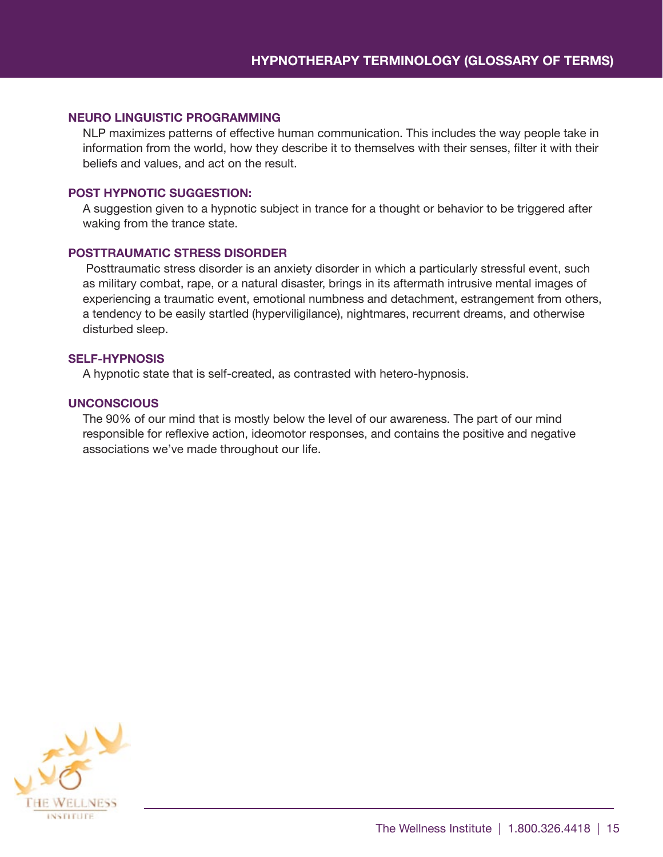### **NEURO LINGUISTIC PROGRAMMING**

NLP maximizes patterns of effective human communication. This includes the way people take in information from the world, how they describe it to themselves with their senses, filter it with their beliefs and values, and act on the result.

### **POST HYPNOTIC SUGGESTION:**

A suggestion given to a hypnotic subject in trance for a thought or behavior to be triggered after waking from the trance state.

#### **POSTTRAUMATIC STRESS DISORDER**

 Posttraumatic stress disorder is an anxiety disorder in which a particularly stressful event, such as military combat, rape, or a natural disaster, brings in its aftermath intrusive mental images of experiencing a traumatic event, emotional numbness and detachment, estrangement from others, a tendency to be easily startled (hyperviligilance), nightmares, recurrent dreams, and otherwise disturbed sleep.

### **SELF-HYPNOSIS**

A hypnotic state that is self-created, as contrasted with hetero-hypnosis.

#### **UNCONSCIOUS**

The 90% of our mind that is mostly below the level of our awareness. The part of our mind responsible for reflexive action, ideomotor responses, and contains the positive and negative associations we've made throughout our life.